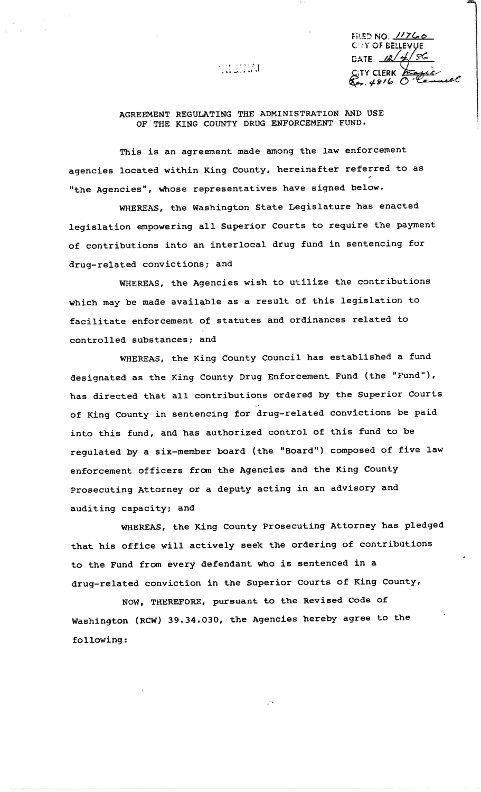「貴族族」

FILED NO. 11760 CITY OF BELLEVUE DATE  $\mathcal{R}/\mathcal{L}/\mathcal{S}$ **TY CLERK**  $.4816$ 

## AGREEMENT REGULATING THE ADMINISTRATION AND USE OF THE KING COUNTY DRUG ENFORCEMENT FUND.

This is an agreement made among the law enforcement agencies located within King County, hereinafter referred to as "the Agencies", whose representatives have signed below.

WHEREAS, the Washington State Legislature has enacted legislation empowering all Superior Courts to require the payment of contributions into an interlocal drug fund in sentencing for drug-related convictions; and

WHEREAS, the Agencies wish to utilize the contributions which may be made available as a result of this legislation to facilitate enforcement of statutes and ordinances related to controlled substances; and

WHEREAS, the King County Council has established a fund designated as the King County Drug Enforcement Fund (the "Fund"), has directed that all contributions ordered by the Superior Courts of King County in sentencing for drug-related convictions be paid into this fund, and has authorized control of this fund to be regulated by a six-member board (the "Board") composed of five law enforcement officers from the Agencies and the King County Prosecuting Attorney or a deputy acting in an advisory and auditing capacity; and

WHEREAS, the King County Prosecuting Attorney has pledged that his office will actively seek the ordering of contributions to the Fund from every defendant who is sentenced in a drug-related conviction in the Superior Courts of King County,

NOW, THEREFORE, pursuant to the Revised Code of Washington (RCW) 39.34.030, the Agencies hereby agree to the following: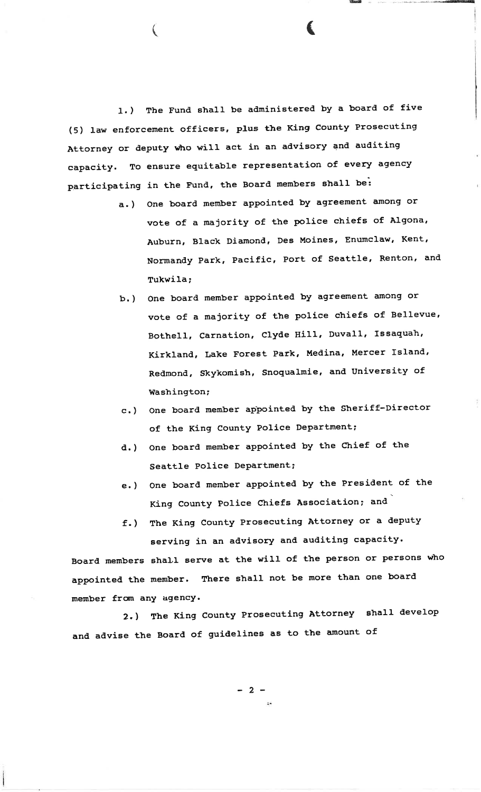1. ) The Fund shall be administered by a board of five (5) law enforcement officers, plus the King County Prosecuting Attorney or deputy who will act in an advisory and auditing capacity. To ensure equitable representation of every agency participating in the Fund, the Board members shall be:

(

a. ) one board member appointed by agreement among or vote of a majority of the police chiefs of Algona, Auburn, Black Diamond, Des Moines, Enumclaw, Kent, Normandy Park, PacifiC, POrt of seattle, Renton, and Tukwila;

€

- b. ) one board member appointed by agreement among or vote of a majority of the police chiefs of Bellevue, Bothell, Carnation, C1yde HiII, Duvall, Issaquah, Kirkland, Lake Forest Park, Medina, Mercer Island, Redmond, Skykomish, Snoqualmie, and University of Washington;
- c.) One board member appointed by the Sheriff-Director of the King County Police Department;
- d. ) one board member appointed by the chief of the Seattle Police Department;
- e. ) One board member appointed by the President of the King County Police Chiefs Association; and
- f.) The King County Prosecuting Attorney or a deputy serving in an advisory and auditing capacity.

Board members shall serve at the wiII of the Person or Persons who appointed the member. There shall not be more than one board member fron anY agency.

2.) The King County Prosecuting Attorney shall develop and advise the Board of guidelines as to the amount of

 $-2-$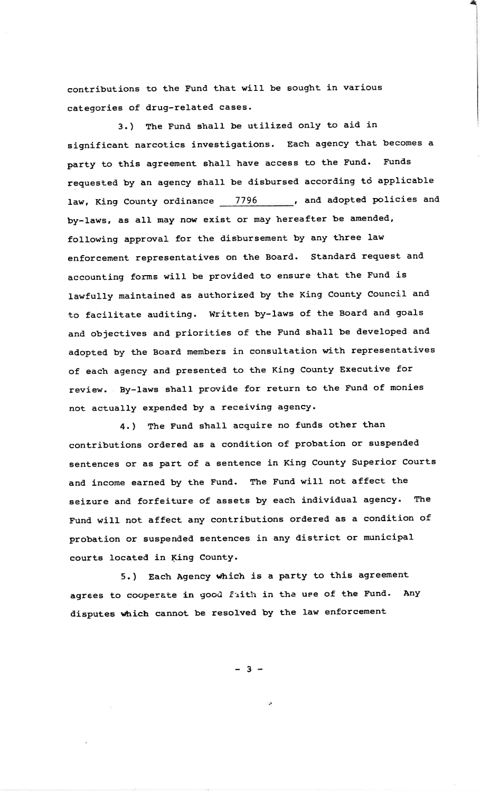contributions to the Fund that will be sought in various categories of drug-related cases.

3.) The Fund shall be utilized only to aid in significant narcotics investigations. Each agency that becomes a party to this agreement shall have access to the Fund. Funds requested by an agency shall be disbursed according to applicable law, King County ordinance 7796 ..............., and adopted policies and by-laws, as all may now exist or may hereafter be amended, following approval for the disbursement by any three law enforcement representatives on the Board. Standard request and accounting forms will be provided to ensure that the Fund is lawfully maintained as authorized by the King County Council and to facilitate auditing. Written by-laws of the Board and goals and objectives and priorities of the Fund shall be developed and adopted by the Board members in consultation with representatives of each agency and presented to the King County Executive for review. By-laws shall provide for return to the Fund of monies not actually expended by a receiving agency.

4.) The Fund shall acquire no funds other than contributions ordered as a condition of probation or suspended sentences or as part of a sentence in King County Superior Courts and income earned by the Fund. The Fund will not affect the seizure and forfeiture of assets by each individual agency. The Fund will not affect any contributions ordered as a condition of probation or suspended sentences in any district or municipal courts located in King County.

5.) Each Agency which is a party to this agreement agrees to cooperate in good faith in the use of the Fund. Any disputes which cannot be resolved by the law enforcement

 $-3 -$